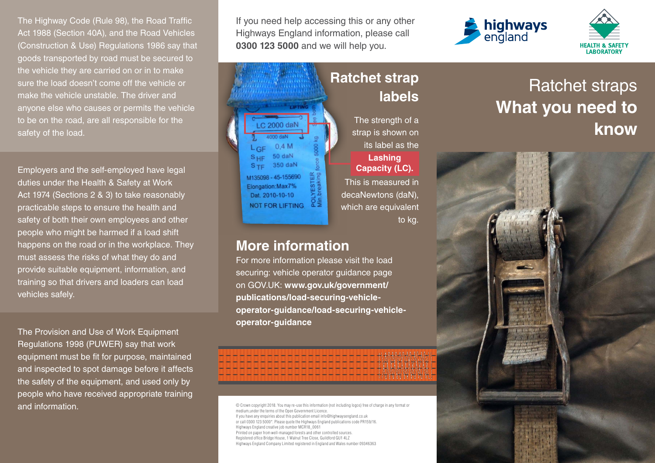The Highway Code (Rule 98), the Road Traffic Act 1988 (Section 40A), and the Road Vehicles (Construction & Use) Regulations 1986 say that goods transported by road must be secured to the vehicle they are carried on or in to make sure the load doesn't come off the vehicle or make the vehicle unstable. The driver and anyone else who causes or permits the vehicle to be on the road, are all responsible for the safety of the load.

Employers and the self-employed have legal duties under the Health & Safety at Work Act 1974 (Sections 2 & 3) to take reasonably practicable steps to ensure the health and safety of both their own employees and other people who might be harmed if a load shift happens on the road or in the workplace. They must assess the risks of what they do and provide suitable equipment, information, and training so that drivers and loaders can load vehicles safely.

The Provision and Use of Work Equipment Regulations 1998 (PUWER) say that work equipment must be fit for purpose, maintained and inspected to spot damage before it affects the safety of the equipment, and used only by people who have received appropriate training and information.  $\blacksquare$ 

If you need help accessing this or any other Highways England information, please call **0300 123 5000** and we will help you.



medium,under the terms of the Open Government Licence. If you have any enquiries about this publication email info@highwaysengland.co.uk or call 0300 123 5000\*. Please quote the Highways England publications code PR159/16. Highways England creative job number MCR18\_0061 Printed on paper from well-managed forests and other controlled sources. Registered office Bridge House, 1 Walnut Tree Close, Guildford GU1 4LZ Highways England Company Limited registered in England and Wales number 09346363

**operator-guidance/load-securing-vehicle-**

**operator-guidance**





## Ratchet straps **What you need to know**